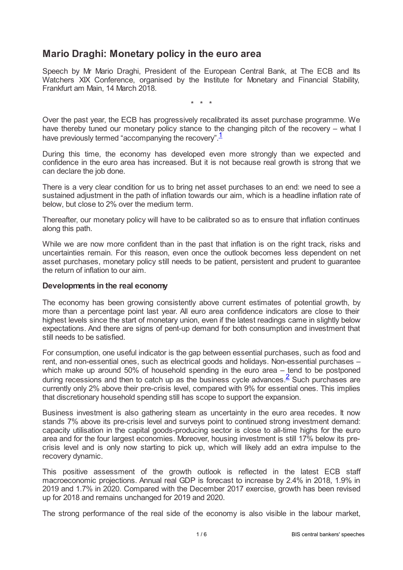# **Mario Draghi: Monetary policy in the euro area**

Speech by Mr Mario Draghi, President of the European Central Bank, at The ECB and Its Watchers XIX Conference, organised by the Institute for Monetary and Financial Stability, Frankfurt am Main, 14 March 2018.

<span id="page-0-0"></span>\* \* \*

Over the past year, the ECB has progressively recalibrated its asset purchase programme. We have thereby tuned our monetary policy stance to the changing pitch of the recovery – what I have previously termed "accompanying the recovery".<sup>[1](#page-5-0)</sup>

During this time, the economy has developed even more strongly than we expected and confidence in the euro area has increased. But it is not because real growth is strong that we can declare the job done.

There is a very clear condition for us to bring net asset purchases to an end: we need to see a sustained adjustment in the path of inflation towards our aim, which is a headline inflation rate of below, but close to 2% over the medium term.

Thereafter, our monetary policy will have to be calibrated so as to ensure that inflation continues along this path.

While we are now more confident than in the past that inflation is on the right track, risks and uncertainties remain. For this reason, even once the outlook becomes less dependent on net asset purchases, monetary policy still needs to be patient, persistent and prudent to guarantee the return of inflation to our aim.

## **Developments in the real economy**

The economy has been growing consistently above current estimates of potential growth, by more than a percentage point last year. All euro area confidence indicators are close to their highest levels since the start of monetary union, even if the latest readings came in slightly below expectations. And there are signs of pent-up demand for both consumption and investment that still needs to be satisfied.

<span id="page-0-1"></span>For consumption, one useful indicator is the gap between essential purchases, such as food and rent, and non-essential ones, such as electrical goods and holidays. Non-essential purchases – which make up around 50% of household spending in the euro area – tend to be postponed during recessions and then to catch up as the business cycle advances.  $\stackrel{2}{\le}$  $\stackrel{2}{\le}$  $\stackrel{2}{\le}$  Such purchases are currently only 2% above their pre-crisis level, compared with 9% for essential ones. This implies that discretionary household spending still has scope to support the expansion.

Business investment is also gathering steam as uncertainty in the euro area recedes. It now stands 7% above its pre-crisis level and surveys point to continued strong investment demand: capacity utilisation in the capital goods-producing sector is close to all-time highs for the euro area and for the four largest economies. Moreover, housing investment is still 17% below its precrisis level and is only now starting to pick up, which will likely add an extra impulse to the recovery dynamic.

This positive assessment of the growth outlook is reflected in the latest ECB staff macroeconomic projections. Annual real GDP is forecast to increase by 2.4% in 2018, 1.9% in 2019 and 1.7% in 2020. Compared with the December 2017 exercise, growth has been revised up for 2018 and remains unchanged for 2019 and 2020.

The strong performance of the real side of the economy is also visible in the labour market,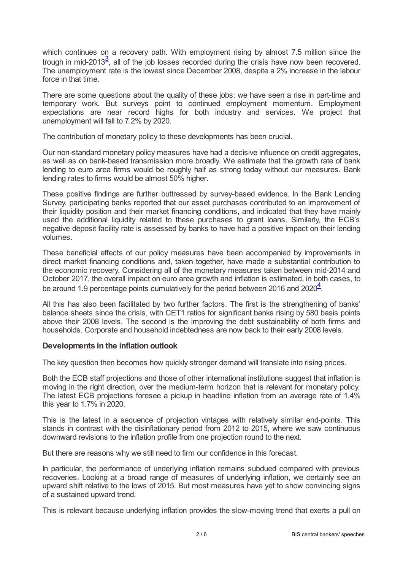<span id="page-1-0"></span>which continues on a recovery path. With employment rising by almost 7.5 million since the trough in mid-201[3](#page-5-2) $\frac{3}{2}$ , all of the job losses recorded during the crisis have now been recovered. The unemployment rate is the lowest since December 2008, despite a 2% increase in the labour force in that time.

There are some questions about the quality of these jobs: we have seen a rise in part-time and temporary work. But surveys point to continued employment momentum. Employment expectations are near record highs for both industry and services. We project that unemployment will fall to 7.2% by 2020.

The contribution of monetary policy to these developments has been crucial.

Our non-standard monetary policy measures have had a decisive influence on credit aggregates, as well as on bank-based transmission more broadly. We estimate that the growth rate of bank lending to euro area firms would be roughly half as strong today without our measures. Bank lending rates to firms would be almost 50% higher.

These positive findings are further buttressed by survey-based evidence. In the Bank Lending Survey, participating banks reported that our asset purchases contributed to an improvement of their liquidity position and their market financing conditions, and indicated that they have mainly used the additional liquidity related to these purchases to grant loans. Similarly, the ECB's negative deposit facility rate is assessed by banks to have had a positive impact on their lending volumes.

These beneficial effects of our policy measures have been accompanied by improvements in direct market financing conditions and, taken together, have made a substantial contribution to the economic recovery. Considering all of the monetary measures taken between mid-2014 and October 2017, the overall impact on euro area growth and inflation is estimated, in both cases, to be around 1.9 percentage points cumulatively for the period between 2016 and  $2020<sup>4</sup>$  $2020<sup>4</sup>$  $2020<sup>4</sup>$ .

<span id="page-1-1"></span>All this has also been facilitated by two further factors. The first is the strengthening of banks' balance sheets since the crisis, with CET1 ratios for significant banks rising by 580 basis points above their 2008 levels. The second is the improving the debt sustainability of both firms and households. Corporate and household indebtedness are now back to their early 2008 levels.

## **Developments in the inflation outlook**

The key question then becomes how quickly stronger demand will translate into rising prices.

Both the ECB staff projections and those of other international institutions suggest that inflation is moving in the right direction, over the medium-term horizon that is relevant for monetary policy. The latest ECB projections foresee a pickup in headline inflation from an average rate of 1.4% this year to 1.7% in 2020.

This is the latest in a sequence of projection vintages with relatively similar end-points. This stands in contrast with the disinflationary period from 2012 to 2015, where we saw continuous downward revisions to the inflation profile from one projection round to the next.

But there are reasons why we still need to firm our confidence in this forecast.

In particular, the performance of underlying inflation remains subdued compared with previous recoveries. Looking at a broad range of measures of underlying inflation, we certainly see an upward shift relative to the lows of 2015. But most measures have yet to show convincing signs of a sustained upward trend.

This is relevant because underlying inflation provides the slow-moving trend that exerts a pull on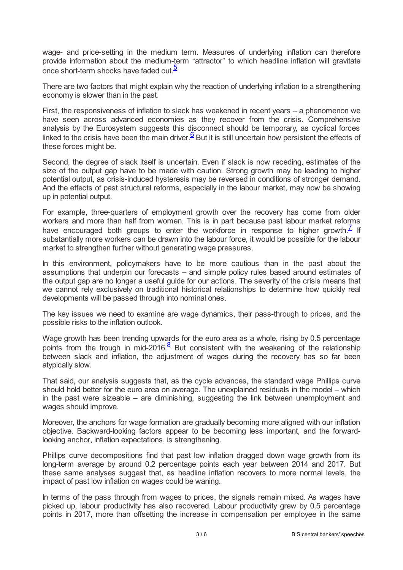wage- and price-setting in the medium term. Measures of underlying inflation can therefore provide information about the medium-term "attractor" to which headline inflation will gravitate once short-term shocks have faded out.<sup>[5](#page-5-4)</sup>

<span id="page-2-0"></span>There are two factors that might explain why the reaction of underlying inflation to a strengthening economy is slower than in the past.

First, the responsiveness of inflation to slack has weakened in recent years – a phenomenon we have seen across advanced economies as they recover from the crisis. Comprehensive analysis by the Eurosystem suggests this disconnect should be temporary, as cyclical forces linked to the crisis have been the main driver.  $\frac{6}{ }$  $\frac{6}{ }$  $\frac{6}{ }$  But it is still uncertain how persistent the effects of these forces might be.

<span id="page-2-1"></span>Second, the degree of slack itself is uncertain. Even if slack is now receding, estimates of the size of the output gap have to be made with caution. Strong growth may be leading to higher potential output, as crisis-induced hysteresis may be reversed in conditions of stronger demand. And the effects of past structural reforms, especially in the labour market, may now be showing up in potential output.

<span id="page-2-2"></span>For example, three-quarters of employment growth over the recovery has come from older workers and more than half from women. This is in part because past labour market reforms have encouraged both groups to enter the workforce in response to higher growth.<sup>[7](#page-5-6)</sup> If substantially more workers can be drawn into the labour force, it would be possible for the labour market to strengthen further without generating wage pressures.

In this environment, policymakers have to be more cautious than in the past about the assumptions that underpin our forecasts – and simple policy rules based around estimates of the output gap are no longer a useful guide for our actions. The severity of the crisis means that we cannot rely exclusively on traditional historical relationships to determine how quickly real developments will be passed through into nominal ones.

The key issues we need to examine are wage dynamics, their pass-through to prices, and the possible risks to the inflation outlook.

<span id="page-2-3"></span>Wage growth has been trending upwards for the euro area as a whole, rising by 0.5 percentage points from the trough in mid-2016.<sup>[8](#page-5-7)</sup> But consistent with the weakening of the relationship between slack and inflation, the adjustment of wages during the recovery has so far been atypically slow.

That said, our analysis suggests that, as the cycle advances, the standard wage Phillips curve should hold better for the euro area on average. The unexplained residuals in the model – which in the past were sizeable – are diminishing, suggesting the link between unemployment and wages should improve.

Moreover, the anchors for wage formation are gradually becoming more aligned with our inflation objective. Backward-looking factors appear to be becoming less important, and the forwardlooking anchor, inflation expectations, is strengthening.

Phillips curve decompositions find that past low inflation dragged down wage growth from its long-term average by around 0.2 percentage points each year between 2014 and 2017. But these same analyses suggest that, as headline inflation recovers to more normal levels, the impact of past low inflation on wages could be waning.

In terms of the pass through from wages to prices, the signals remain mixed. As wages have picked up, labour productivity has also recovered. Labour productivity grew by 0.5 percentage points in 2017, more than offsetting the increase in compensation per employee in the same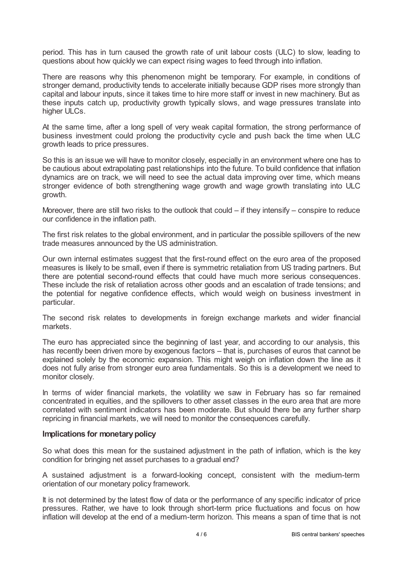period. This has in turn caused the growth rate of unit labour costs (ULC) to slow, leading to questions about how quickly we can expect rising wages to feed through into inflation.

There are reasons why this phenomenon might be temporary. For example, in conditions of stronger demand, productivity tends to accelerate initially because GDP rises more strongly than capital and labour inputs, since it takes time to hire more staff or invest in new machinery. But as these inputs catch up, productivity growth typically slows, and wage pressures translate into higher ULCs.

At the same time, after a long spell of very weak capital formation, the strong performance of business investment could prolong the productivity cycle and push back the time when ULC growth leads to price pressures.

So this is an issue we will have to monitor closely, especially in an environment where one has to be cautious about extrapolating past relationships into the future. To build confidence that inflation dynamics are on track, we will need to see the actual data improving over time, which means stronger evidence of both strengthening wage growth and wage growth translating into ULC growth.

Moreover, there are still two risks to the outlook that could – if they intensify – conspire to reduce our confidence in the inflation path.

The first risk relates to the global environment, and in particular the possible spillovers of the new trade measures announced by the US administration.

Our own internal estimates suggest that the first-round effect on the euro area of the proposed measures is likely to be small, even if there is symmetric retaliation from US trading partners. But there are potential second-round effects that could have much more serious consequences. These include the risk of retaliation across other goods and an escalation of trade tensions; and the potential for negative confidence effects, which would weigh on business investment in particular.

The second risk relates to developments in foreign exchange markets and wider financial markets.

The euro has appreciated since the beginning of last year, and according to our analysis, this has recently been driven more by exogenous factors – that is, purchases of euros that cannot be explained solely by the economic expansion. This might weigh on inflation down the line as it does not fully arise from stronger euro area fundamentals. So this is a development we need to monitor closely.

In terms of wider financial markets, the volatility we saw in February has so far remained concentrated in equities, and the spillovers to other asset classes in the euro area that are more correlated with sentiment indicators has been moderate. But should there be any further sharp repricing in financial markets, we will need to monitor the consequences carefully.

## **Implications for monetarypolicy**

So what does this mean for the sustained adjustment in the path of inflation, which is the key condition for bringing net asset purchases to a gradual end?

A sustained adjustment is a forward-looking concept, consistent with the medium-term orientation of our monetary policy framework.

It is not determined by the latest flow of data or the performance of any specific indicator of price pressures. Rather, we have to look through short-term price fluctuations and focus on how inflation will develop at the end of a medium-term horizon. This means a span of time that is not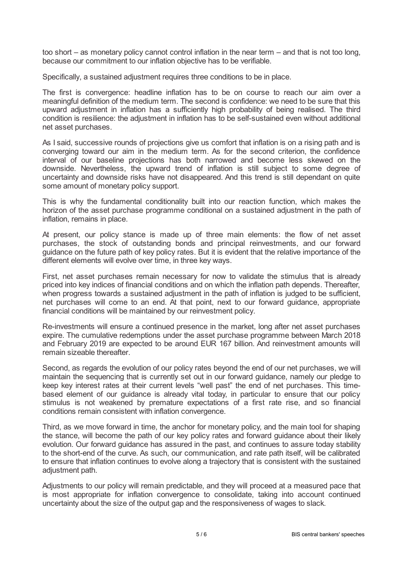too short – as monetary policy cannot control inflation in the near term – and that is not too long, because our commitment to our inflation objective has to be verifiable.

Specifically, a sustained adjustment requires three conditions to be in place.

The first is convergence: headline inflation has to be on course to reach our aim over a meaningful definition of the medium term. The second is confidence: we need to be sure that this upward adjustment in inflation has a sufficiently high probability of being realised. The third condition is resilience: the adjustment in inflation has to be self-sustained even without additional net asset purchases.

As I said, successive rounds of projections give us comfort that inflation is on a rising path and is converging toward our aim in the medium term. As for the second criterion, the confidence interval of our baseline projections has both narrowed and become less skewed on the downside. Nevertheless, the upward trend of inflation is still subject to some degree of uncertainty and downside risks have not disappeared. And this trend is still dependant on quite some amount of monetary policy support.

This is why the fundamental conditionality built into our reaction function, which makes the horizon of the asset purchase programme conditional on a sustained adjustment in the path of inflation, remains in place.

At present, our policy stance is made up of three main elements: the flow of net asset purchases, the stock of outstanding bonds and principal reinvestments, and our forward guidance on the future path of key policy rates. But it is evident that the relative importance of the different elements will evolve over time, in three key ways.

First, net asset purchases remain necessary for now to validate the stimulus that is already priced into key indices of financial conditions and on which the inflation path depends. Thereafter, when progress towards a sustained adjustment in the path of inflation is judged to be sufficient, net purchases will come to an end. At that point, next to our forward guidance, appropriate financial conditions will be maintained by our reinvestment policy.

Re-investments will ensure a continued presence in the market, long after net asset purchases expire. The cumulative redemptions under the asset purchase programme between March 2018 and February 2019 are expected to be around EUR 167 billion. And reinvestment amounts will remain sizeable thereafter.

Second, as regards the evolution of our policy rates beyond the end of our net purchases, we will maintain the sequencing that is currently set out in our forward guidance, namely our pledge to keep key interest rates at their current levels "well past" the end of net purchases. This timebased element of our guidance is already vital today, in particular to ensure that our policy stimulus is not weakened by premature expectations of a first rate rise, and so financial conditions remain consistent with inflation convergence.

Third, as we move forward in time, the anchor for monetary policy, and the main tool for shaping the stance, will become the path of our key policy rates and forward guidance about their likely evolution. Our forward guidance has assured in the past, and continues to assure today stability to the short-end of the curve. As such, our communication, and rate path itself, will be calibrated to ensure that inflation continues to evolve along a trajectory that is consistent with the sustained adjustment path.

Adjustments to our policy will remain predictable, and they will proceed at a measured pace that is most appropriate for inflation convergence to consolidate, taking into account continued uncertainty about the size of the output gap and the responsiveness of wages to slack.